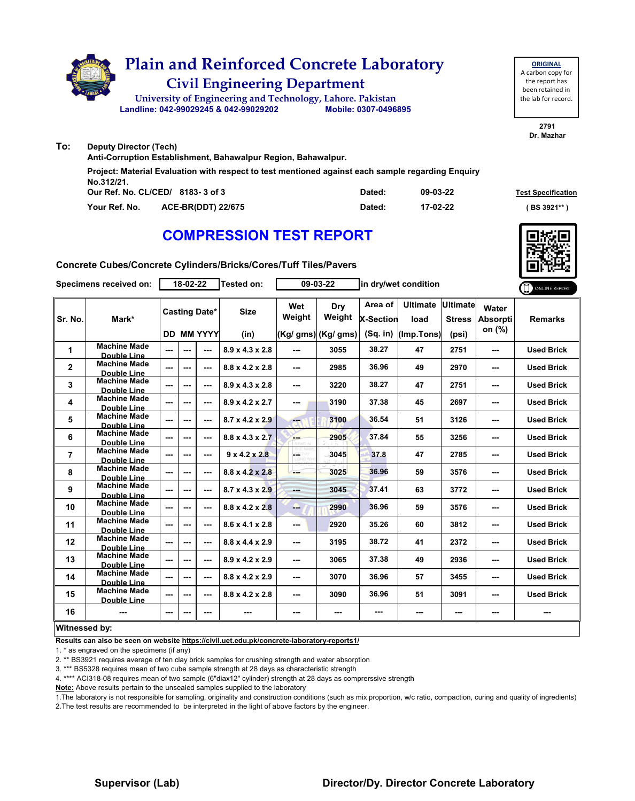

| <b>ORIGINAL</b>     |
|---------------------|
| A carbon copy for   |
| the report has      |
| been retained in    |
| the lab for record. |
|                     |

**2791 Dr. Mazhar**

**Our Ref. No. CL/CED/ Dated: Test Specification 8183- 3 of 3 Your Ref. No. ACE-BR(DDT) 22/675 Dated: ( BS 3921\*\* ) 09-03-22 17-02-22 Deputy Director (Tech) Anti-Corruption Establishment, Bahawalpur Region, Bahawalpur. Project: Material Evaluation with respect to test mentioned against each sample regarding Enquiry No.312/21.**

### **COMPRESSION TEST REPORT**

**Concrete Cubes/Concrete Cylinders/Bricks/Cores/Tuff Tiles/Pavers**

| Specimens received on: |                                           | 18-02-22      |         |                          | Tested on:                  | 09-03-22      |                     | in dry/wet condition        |                         |                                  |                          | ONLINE REPORT     |
|------------------------|-------------------------------------------|---------------|---------|--------------------------|-----------------------------|---------------|---------------------|-----------------------------|-------------------------|----------------------------------|--------------------------|-------------------|
| Sr. No.                | Mark*                                     |               |         | <b>Casting Date*</b>     | <b>Size</b>                 | Wet<br>Weight | Dry<br>Weight       | Area of<br><b>X-Section</b> | <b>Ultimate</b><br>load | <b>Ultimate</b><br><b>Stress</b> | Water<br><b>Absorpti</b> | <b>Remarks</b>    |
|                        |                                           |               |         | <b>DD MM YYYY</b>        | (in)                        |               | (Kg/ gms) (Kg/ gms) | (Sq. in)                    | (Imp.Tons)              | (psi)                            | on (%)                   |                   |
| 1                      | <b>Machine Made</b><br><b>Double Line</b> | $\sim$ $\sim$ | ---     | $\sim$ $\sim$            | $8.9 \times 4.3 \times 2.8$ | ---           | 3055                | 38.27                       | 47                      | 2751                             | $\overline{\phantom{a}}$ | <b>Used Brick</b> |
| $\mathbf{2}$           | <b>Machine Made</b><br>Double Line        | ---           | $- - -$ | $\sim$                   | $8.8 \times 4.2 \times 2.8$ | ---           | 2985                | 36.96                       | 49                      | 2970                             | ---                      | <b>Used Brick</b> |
| 3                      | <b>Machine Made</b><br>Double Line        | $\sim$        | ---     | $- - -$                  | $8.9 \times 4.3 \times 2.8$ | ---           | 3220                | 38.27                       | 47                      | 2751                             | $-$                      | <b>Used Brick</b> |
| 4                      | <b>Machine Made</b><br><b>Double Line</b> | ---           | ---     | $\sim$ $\sim$            | $8.9 \times 4.2 \times 2.7$ | ---           | 3190                | 37.38                       | 45                      | 2697                             | ---                      | <b>Used Brick</b> |
| 5                      | <b>Machine Made</b><br><b>Double Line</b> | $- - -$       | ---     | $-$                      | $8.7 \times 4.2 \times 2.9$ | mar.          | 3100                | 36.54                       | 51                      | 3126                             | ---                      | <b>Used Brick</b> |
| 6                      | Machine Made<br>Double Line               | ---           | ---     | $- - -$                  | $8.8 \times 4.3 \times 2.7$ | ---           | 2905                | 37.84                       | 55                      | 3256                             | $-$                      | <b>Used Brick</b> |
| $\overline{7}$         | <b>Machine Made</b><br><b>Double Line</b> | ---           |         | $\sim$ $\sim$            | $9 \times 4.2 \times 2.8$   | posts.        | 3045                | 37.8                        | 47                      | 2785                             | ---                      | <b>Used Brick</b> |
| 8                      | <b>Machine Made</b><br><b>Double Line</b> | $\sim$ $\sim$ | ---     | $\sim$ $\sim$            | $8.8 \times 4.2 \times 2.8$ | ---           | 3025                | 36.96                       | 59                      | 3576                             | ---                      | <b>Used Brick</b> |
| 9                      | <b>Machine Made</b><br>Double Line        | $\sim$ $\sim$ | ---     | $\sim$ $\sim$            | $8.7 \times 4.3 \times 2.9$ | ---           | 3045                | 37.41                       | 63                      | 3772                             | ---                      | <b>Used Brick</b> |
| 10                     | <b>Machine Made</b><br>Double Line        | $\sim$ $\sim$ | $\sim$  | $\overline{\phantom{a}}$ | $8.8 \times 4.2 \times 2.8$ | ---           | 2990                | 36.96                       | 59                      | 3576                             | $\overline{\phantom{a}}$ | <b>Used Brick</b> |
| 11                     | <b>Machine Made</b><br>Double Line        | ---           | ---     | ---                      | $8.6 \times 4.1 \times 2.8$ | ---           | 2920                | 35.26                       | 60                      | 3812                             | ---                      | <b>Used Brick</b> |
| 12                     | <b>Machine Made</b><br><b>Double Line</b> | ---           | $-$     | $-$                      | $8.8 \times 4.4 \times 2.9$ | ---           | 3195                | 38.72                       | 41                      | 2372                             | ---                      | <b>Used Brick</b> |
| 13                     | <b>Machine Made</b><br>Double Line        | $- - -$       | ---     | $- - -$                  | $8.9 \times 4.2 \times 2.9$ | ---           | 3065                | 37.38                       | 49                      | 2936                             | $-$                      | <b>Used Brick</b> |
| 14                     | <b>Machine Made</b><br><b>Double Line</b> | ---           | ---     | $\sim$ $\sim$            | $8.8 \times 4.2 \times 2.9$ | ---           | 3070                | 36.96                       | 57                      | 3455                             | ---                      | <b>Used Brick</b> |
| 15                     | <b>Machine Made</b><br><b>Double Line</b> | ---           | ---     | $\sim$ $\sim$            | $8.8 \times 4.2 \times 2.8$ | ---           | 3090                | 36.96                       | 51                      | 3091                             | ---                      | <b>Used Brick</b> |
| 16                     | ---                                       | ---           | ---     | ---                      | ---                         | ---           | ---                 | ---                         | ---                     | ---                              | ---                      | ---               |
| Witnessed by:          |                                           |               |         |                          |                             |               |                     |                             |                         |                                  |                          |                   |

**Results can also be seen on website https://civil.uet.edu.pk/concrete-laboratory-reports1/**

1. \* as engraved on the specimens (if any)

**To:**

2. \*\* BS3921 requires average of ten clay brick samples for crushing strength and water absorption

3. \*\*\* BS5328 requires mean of two cube sample strength at 28 days as characteristic strength

4. \*\*\*\* ACI318-08 requires mean of two sample (6"diax12" cylinder) strength at 28 days as comprerssive strength

**Note:** Above results pertain to the unsealed samples supplied to the laboratory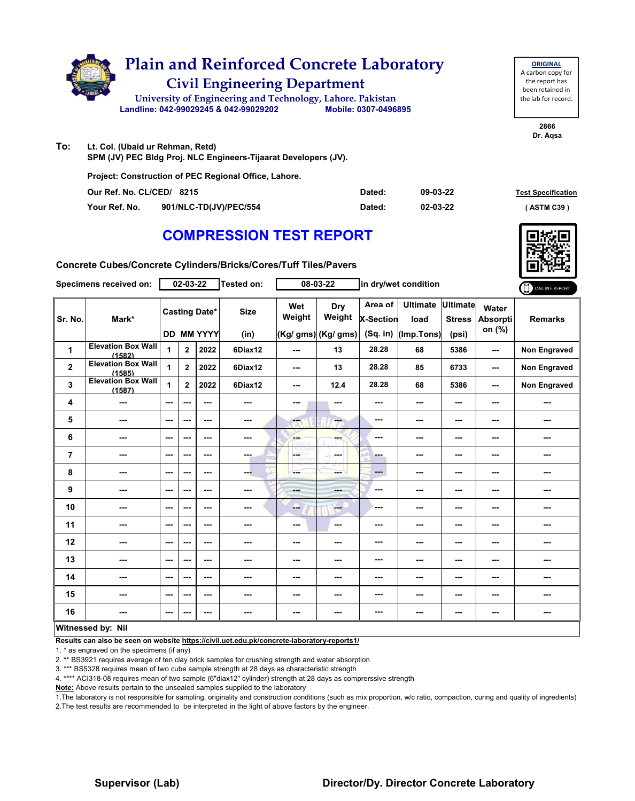

**To: Lt. Col. (Ubaid ur Rehman, Retd) SPM (JV) PEC Bldg Proj. NLC Engineers-Tijaarat Developers (JV).**

| <b>Project: Construction of PEC Regional Office, Lahore.</b> |                        |        |          |                           |  |  |  |  |  |  |  |
|--------------------------------------------------------------|------------------------|--------|----------|---------------------------|--|--|--|--|--|--|--|
| Our Ref. No. CL/CED/ 8215                                    |                        | Dated: | 09-03-22 | <b>Test Specification</b> |  |  |  |  |  |  |  |
| Your Ref. No.                                                | 901/NLC-TD(JV)/PEC/554 | Dated: | 02-03-22 | (ASTM C39)                |  |  |  |  |  |  |  |

### **COMPRESSION TEST REPORT**

| Concrete Cubes/Concrete Cylinders/Bricks/Cores/Tuff Tiles/Pavers |
|------------------------------------------------------------------|
|------------------------------------------------------------------|

|                | Specimens received on:                        |         | $02 - 03 - 22$ |                           | <b>Tested on:</b> |               | 08-03-22                  | in dry/wet condition                      |                         |                                  | ONLINE REPORT                      |                     |
|----------------|-----------------------------------------------|---------|----------------|---------------------------|-------------------|---------------|---------------------------|-------------------------------------------|-------------------------|----------------------------------|------------------------------------|---------------------|
| Sr. No.        | Mark*                                         |         |                | <b>Casting Date*</b>      | <b>Size</b>       | Wet<br>Weight | Dry<br>Weight             | Area of<br><b>X-Section</b><br>$(Sq.$ in) | <b>Ultimate</b><br>load | <b>Ultimate</b><br><b>Stress</b> | Water<br><b>Absorpti</b><br>on (%) | <b>Remarks</b>      |
| 1              | <b>Elevation Box Wall</b>                     | 1       | $\mathbf{2}$   | <b>DD MM YYYY</b><br>2022 | (in)<br>6Diax12   | ---           | (Kg/ gms) (Kg/ gms)<br>13 | 28.28                                     | (Imp.Tons)<br>68        | (psi)<br>5386                    | ---                                | <b>Non Engraved</b> |
| $\mathbf 2$    | (1582)<br><b>Elevation Box Wall</b><br>(1585) | 1       | $\mathbf{2}$   | 2022                      | 6Diax12           | ---           | 13                        | 28.28                                     | 85                      | 6733                             | ---                                | Non Engraved        |
| 3              | <b>Elevation Box Wall</b><br>(1587)           | 1       | $\mathbf{2}$   | 2022                      | 6Diax12           | ---           | 12.4                      | 28.28                                     | 68                      | 5386                             | ---                                | <b>Non Engraved</b> |
| 4              |                                               | ---     | ---            | ---                       | ---               | ---           | ---                       | ---                                       | ---                     | ---                              | ---                                | ---                 |
| 5              | ---                                           | $--$    | ---            | ---                       | ---               | ---           | ---                       | ---                                       | ---                     | ---                              | ---                                | ---                 |
| 6              | ---                                           | ---     | ---            | ---                       | ---               | <b>SHOP</b>   | <b>SHOP</b>               | ---                                       | ---                     | ---                              |                                    | ---                 |
| $\overline{7}$ | ---                                           | ---     | ---            | ---                       | ---               | LGST          | ---                       | ---                                       | ---                     | ---                              |                                    | ---                 |
| 8              | ---                                           | $- - -$ | ---            | $\overline{\phantom{a}}$  | ---               | ---           | ---                       | ---                                       | ---                     | ---                              | ---                                | ---                 |
| 9              | ---                                           | ---     | ---            | ---                       | ---               | mente.        | ---                       | ---                                       | ---                     | ---                              | ---                                | ---                 |
| 10             | ---                                           | ---     | ---            | ---                       | ---               | --            | $-$                       | ---                                       | ---                     | ---                              | ---                                | ---                 |
| 11             | ---                                           | ---     | ---            | ---                       | ---               | ---           | $\sim$ $\sim$             | ---                                       | ---                     | ---                              | ---                                | ---                 |
| 12             | ---                                           | $--$    | ---            | ---                       | ---               | ---           | ---                       | ---                                       | ---                     | ---                              | ---                                | ---                 |
| 13             | ---                                           | $--$    | ---            | ---                       | ---               | ---           | ---                       | ---                                       | ---                     | ---                              | ---                                | ---                 |
| 14             | ---                                           | ---     | ---            | ---                       | ---               | ---           | ---                       | ---                                       | ---                     | ---                              |                                    | ---                 |
| 15             | ---                                           | ---     | ---            | ---                       | ---               | ---           |                           | ---                                       | ---                     | ---                              | ---                                | ---                 |
| 16             | ---                                           | $--$    | ---            | ---                       | ---               | ---           | ---                       | ---                                       | ---                     | ---                              | ---                                | ---                 |
|                | Witngssad hy: Nil                             |         |                |                           |                   |               |                           |                                           |                         |                                  |                                    |                     |

#### **Witnessed by: Nil**

**Results can also be seen on website https://civil.uet.edu.pk/concrete-laboratory-reports1/**

1. \* as engraved on the specimens (if any)

2. \*\* BS3921 requires average of ten clay brick samples for crushing strength and water absorption

3. \*\*\* BS5328 requires mean of two cube sample strength at 28 days as characteristic strength

4. \*\*\*\* ACI318-08 requires mean of two sample (6"diax12" cylinder) strength at 28 days as comprerssive strength

**Note:** Above results pertain to the unsealed samples supplied to the laboratory

1.The laboratory is not responsible for sampling, originality and construction conditions (such as mix proportion, w/c ratio, compaction, curing and quality of ingredients) 2.The test results are recommended to be interpreted in the light of above factors by the engineer.

#### **Supervisor (Lab) Director/Dy. Director Concrete Laboratory**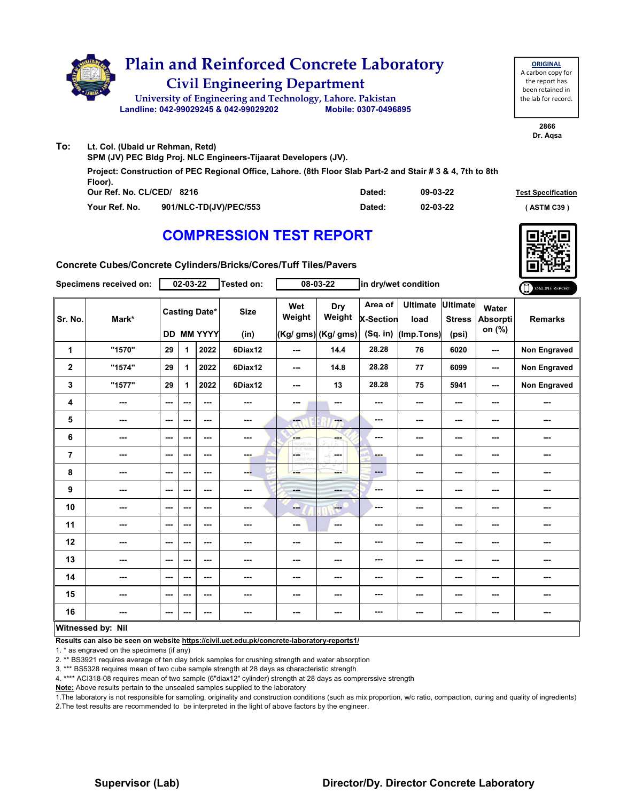

| <b>ORIGINAL</b>     |
|---------------------|
| A carbon copy for   |
| the report has      |
| been retained in    |
| the lab for record. |
|                     |

**2866 Dr. Aqsa**

|                                                                 | Lt. Col. (Ubaid ur Rehman, Retd)                                                                           |        |          |                           |  |  |  |  |  |  |  |
|-----------------------------------------------------------------|------------------------------------------------------------------------------------------------------------|--------|----------|---------------------------|--|--|--|--|--|--|--|
| SPM (JV) PEC Bldg Proj. NLC Engineers-Tijaarat Developers (JV). |                                                                                                            |        |          |                           |  |  |  |  |  |  |  |
| Floor).                                                         | Project: Construction of PEC Regional Office, Lahore. (8th Floor Slab Part-2 and Stair # 3 & 4, 7th to 8th |        |          |                           |  |  |  |  |  |  |  |
| Our Ref. No. CL/CED/ 8216                                       |                                                                                                            | Dated: | 09-03-22 | <b>Test Specification</b> |  |  |  |  |  |  |  |
| Your Ref. No.                                                   | 901/NLC-TD(JV)/PEC/553                                                                                     | Dated: | 02-03-22 | (ASTM C39)                |  |  |  |  |  |  |  |

## **COMPRESSION TEST REPORT**



**Test Specification** 

**Concrete Cubes/Concrete Cylinders/Bricks/Cores/Tuff Tiles/Pavers**

|                | Specimens received on: |          | $02 - 03 - 22$ |                                           | <b>Tested on:</b>   |                          | 08-03-22                                    | in dry/wet condition                      |                                       |                                           | O ONLINE REPORT                    |                     |
|----------------|------------------------|----------|----------------|-------------------------------------------|---------------------|--------------------------|---------------------------------------------|-------------------------------------------|---------------------------------------|-------------------------------------------|------------------------------------|---------------------|
| Sr. No.        | Mark*                  |          |                | <b>Casting Date*</b><br><b>DD MM YYYY</b> | <b>Size</b><br>(in) | Wet<br>Weight            | <b>Dry</b><br>Weight<br>(Kg/ gms) (Kg/ gms) | Area of<br><b>X-Section</b><br>$(Sq.$ in) | <b>Ultimate</b><br>load<br>(Imp.Tons) | <b>Ultimate</b><br><b>Stress</b><br>(psi) | Water<br><b>Absorpti</b><br>on (%) | <b>Remarks</b>      |
| 1              | "1570"                 | 29       | 1              | 2022                                      | 6Diax12             | $\overline{\phantom{a}}$ | 14.4                                        | 28.28                                     | 76                                    | 6020                                      | ---                                | <b>Non Engraved</b> |
| $\mathbf 2$    | "1574"                 | 29       | $\mathbf 1$    | 2022                                      | 6Diax12             | $\sim$ $\sim$            | 14.8                                        | 28.28                                     | 77                                    | 6099                                      | $\frac{1}{2}$                      | Non Engraved        |
| 3              | "1577"                 | 29       | 1              | 2022                                      | 6Diax12             | ---                      | 13                                          | 28.28                                     | 75                                    | 5941                                      | $\overline{\phantom{a}}$           | Non Engraved        |
| 4              | ---                    | $--$     | $--$           | $--$                                      | ---                 | ---                      | ---                                         | ---                                       | ---                                   | ---                                       | ---                                | ---                 |
| 5              | ---                    | $\cdots$ | ---            | ---                                       | ---                 | a.                       | $\frac{1}{2}$                               | $\sim$                                    | ---                                   | ---                                       | ---                                |                     |
| 6              | ---                    | ---      | ---            | ---                                       | ---                 | ---                      | ---                                         | ---                                       | ---                                   | ---                                       | ---                                | ---                 |
| $\overline{7}$ | ---                    | $--$     | $--$           | $--$                                      | ---                 | w<br>÷<br><b>D.Win</b>   | -S<br>in med                                | ---                                       | ---                                   | $\sim$                                    | ---                                | ---                 |
| 8              | ---                    | $--$     | ---            | $--$                                      | ---                 | ---                      | ---                                         | $\qquad \qquad \cdots$                    | ---                                   | ---                                       | ---                                |                     |
| 9              | ---                    | ---      | ---            | ---                                       | ---                 | ---                      | ---                                         | ---                                       | ---                                   | ---                                       | ---                                | ---                 |
| 10             | ---                    | $- - -$  | ---            | ---                                       | ---                 | -                        | <b>Fee</b>                                  | ---                                       | ---                                   | $\sim$ $\sim$                             | ---                                | ---                 |
| 11             | ---                    | ---      | ---            | ---                                       | ---                 | $\overline{\phantom{a}}$ | ---                                         | ---                                       | ---                                   | ---                                       | ---                                | ---                 |
| 12             | ---                    | ---      | $--$           | ---                                       | ---                 | ---                      | ---                                         | ---                                       | ---                                   | ---                                       | ---                                |                     |
| 13             | ---                    | $--$     | $--$           | ---                                       | ---                 | ---                      | ---                                         | ---                                       | ---                                   | ---                                       | ---                                | ---                 |
| 14             | ---                    | ---      | ---            | ---                                       | ---                 | ---                      | ---                                         | ---                                       | ---                                   | ---                                       | ---                                | ---                 |
| 15             | ---                    | $--$     | ---            | ---                                       |                     | ---                      | ---                                         | ---                                       | ---                                   | ---                                       | ---                                |                     |
| 16             | ---                    | $--$     | ---            | $--$                                      | ---                 | $\cdots$                 | ---                                         | ---                                       | ---                                   | $\cdots$                                  | ---                                | ---                 |
|                | Witnessed by: Nil      |          |                |                                           |                     |                          |                                             |                                           |                                       |                                           |                                    |                     |

**Results can also be seen on website https://civil.uet.edu.pk/concrete-laboratory-reports1/**

1. \* as engraved on the specimens (if any)

2. \*\* BS3921 requires average of ten clay brick samples for crushing strength and water absorption

3. \*\*\* BS5328 requires mean of two cube sample strength at 28 days as characteristic strength

4. \*\*\*\* ACI318-08 requires mean of two sample (6"diax12" cylinder) strength at 28 days as comprerssive strength

**Note:** Above results pertain to the unsealed samples supplied to the laboratory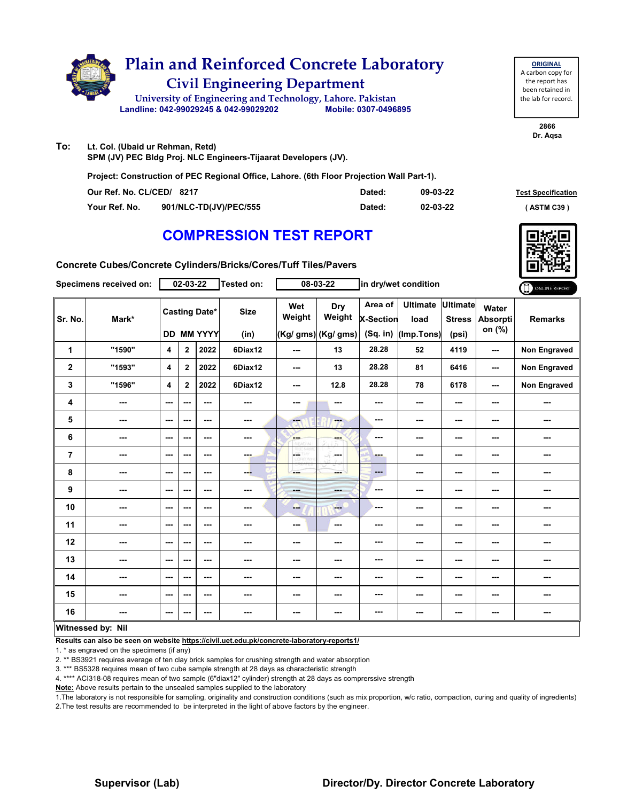

| To: | Lt. Col. (Ubaid ur Rehman, Retd) |
|-----|----------------------------------|
|-----|----------------------------------|

**SPM (JV) PEC Bldg Proj. NLC Engineers-Tijaarat Developers (JV).**

**Project: Construction of PEC Regional Office, Lahore. (6th Floor Projection Wall Part-1).**

| Our Ref. No. CL/CED/ 8217 |                        | Dated: | 09-03-22 | <b>Test Specification</b> |
|---------------------------|------------------------|--------|----------|---------------------------|
| Your Ref. No.             | 901/NLC-TD(JV)/PEC/555 | Dated: | 02-03-22 | (ASTM C39)                |

#### **COMPRESSION TEST REPORT**

**2866 Dr. Aqsa**

**ORIGINAL** A carbon copy for the report has been retained in the lab for record.

| Concrete Cubes/Concrete Cylinders/Bricks/Cores/Tuff Tiles/Pavers |  |
|------------------------------------------------------------------|--|
|------------------------------------------------------------------|--|

|                  | Specimens received on:   |                          | $02 - 03 - 22$          |                                           | <b>Tested on:</b>   |               | 08-03-22                                    |                                           | in dry/wet condition                  |                                           |                                    | ONLINE REPORT  |
|------------------|--------------------------|--------------------------|-------------------------|-------------------------------------------|---------------------|---------------|---------------------------------------------|-------------------------------------------|---------------------------------------|-------------------------------------------|------------------------------------|----------------|
| Sr. No.          | Mark*                    |                          |                         | <b>Casting Date*</b><br><b>DD MM YYYY</b> | <b>Size</b><br>(in) | Wet<br>Weight | <b>Dry</b><br>Weight<br>(Kg/ gms) (Kg/ gms) | Area of<br><b>X-Section</b><br>$(Sq.$ in) | <b>Ultimate</b><br>load<br>(Imp.Tons) | <b>Ultimate</b><br><b>Stress</b><br>(psi) | Water<br><b>Absorpti</b><br>on (%) | <b>Remarks</b> |
| 1                | "1590"                   | 4                        | $\mathbf{2}$            | 2022                                      | 6Diax12             | ---           | 13                                          | 28.28                                     | 52                                    | 4119                                      | ---                                | Non Engraved   |
| $\mathbf 2$      | "1593"                   | 4                        | $\overline{\mathbf{2}}$ | 2022                                      | 6Diax12             | ---           | 13                                          | 28.28                                     | 81                                    | 6416                                      | ---                                | Non Engraved   |
| 3                | "1596"                   | 4                        | $\mathbf{2}$            | 2022                                      | 6Diax12             | ---           | 12.8                                        | 28.28                                     | 78                                    | 6178                                      | ---                                | Non Engraved   |
| 4                | ---                      | ---                      | ---                     | ---                                       | ---                 | ---           | ---                                         | ---                                       | ---                                   | $--$                                      | ---                                | ---            |
| 5                | ---                      | $\overline{\phantom{a}}$ | ---                     | ---                                       | ---                 | $-1$          | ---                                         | ---                                       | ---                                   | ---                                       | ---                                | ---            |
| 6                | ---                      | ---                      | ---                     | ---                                       | ---                 | <b>SHOP</b>   | ---                                         | ---                                       | ---                                   | ---                                       | ---                                | ---            |
| $\overline{7}$   | ---                      | $- - -$                  | ---                     | ---                                       | man.                | LGE.          | -S.<br>المسترد                              | ---                                       | ---                                   | $--$                                      | ---                                | ---            |
| 8                | ---                      | ---                      | ---                     | ---                                       | ---                 | ---           | ---                                         | ---                                       | ---                                   | $--$                                      | ---                                | ---            |
| $\boldsymbol{9}$ | ---                      | $\sim$ $\sim$            | ---                     | ---                                       | ---                 | ---           | ---                                         | ---                                       | ---                                   | $--$                                      | ---                                | ---            |
| 10               | ---                      | ---                      | ---                     | ---                                       | ---                 | ---           | <b>Fee</b>                                  | ---                                       | ---                                   | $--$                                      | ---                                | ---            |
| 11               | ---                      | ---                      | ---                     | ---                                       | ---                 | ---           | $\cdots$                                    | ---                                       | ---                                   | $--$                                      | ---                                | ---            |
| 12               | ---                      | ---                      | ---                     | ---                                       | ---                 | ---           | ---                                         | ---                                       | ---                                   | ---                                       | ---                                | ---            |
| 13               | ---                      | ---                      | ---                     | ---                                       | ---                 | ---           |                                             | ---                                       | ---                                   | ---                                       | ---                                | ---            |
| 14               | ---                      | ---                      | ---                     | ---                                       | ---                 | ---           | ---                                         | ---                                       | ---                                   | $--$                                      | ---                                | ---            |
| 15               | ---                      | $- - -$                  | ---                     | ---                                       | $\sim$              | ---           | ---                                         | ---                                       | ---                                   | ---                                       | ---                                | ---            |
| 16               | ---                      | $\overline{\phantom{a}}$ | ---                     | ---                                       | $\sim$              | ---           | ---                                         | ---                                       | ---                                   | ---                                       | ---                                | ---            |
|                  | <b>Witnessed by: Nil</b> |                          |                         |                                           |                     |               |                                             |                                           |                                       |                                           |                                    |                |

#### **Witnessed by: Nil**

**Results can also be seen on website https://civil.uet.edu.pk/concrete-laboratory-reports1/**

1. \* as engraved on the specimens (if any)

2. \*\* BS3921 requires average of ten clay brick samples for crushing strength and water absorption

3. \*\*\* BS5328 requires mean of two cube sample strength at 28 days as characteristic strength

4. \*\*\*\* ACI318-08 requires mean of two sample (6"diax12" cylinder) strength at 28 days as comprerssive strength

**Note:** Above results pertain to the unsealed samples supplied to the laboratory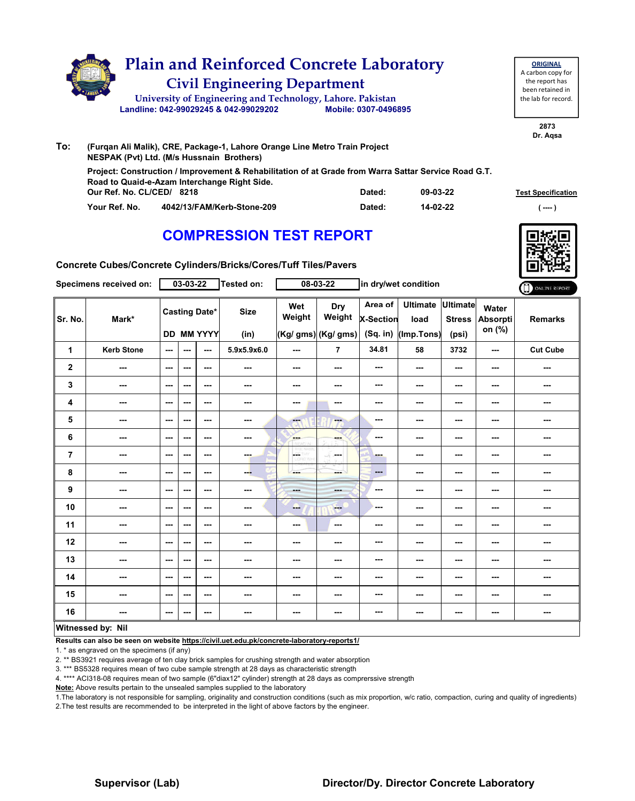|     | <b>Civil Engineering Department</b><br>University of Engineering and Technology, Lahore. Pakistan<br>Landline: 042-99029245 & 042-99029202 | Mobile: 0307-0496895                                                                                 |
|-----|--------------------------------------------------------------------------------------------------------------------------------------------|------------------------------------------------------------------------------------------------------|
| To: | (Furgan Ali Malik), CRE, Package-1, Lahore Orange Line Metro Train Project<br>NESPAK (Pvt) Ltd. (M/s Hussnain Brothers)                    | Project: Construction / Improvement & Rehabilitation of at Grade from Warra Sattar Service Road G.T. |

### **COMPRESSION TEST REPORT**



**2873 Dr. Aqsa**

**ORIGINAL** A carbon copy for the report has been retained in the lab for record.

| Concrete Cubes/Concrete Cylinders/Bricks/Cores/Tuff Tiles/Pavers |  |
|------------------------------------------------------------------|--|
|                                                                  |  |

**Our Ref. No. CL/CED/ Dated: Test Specification 8218**

**09-03-22 14-02-22**

|                | Specimens received on:   |                          | 03-03-22                 |                                           | Tested on:               |               | 08-03-22                              |                                         | in dry/wet condition                  |                                           |                             | ONLINE REPORT   |
|----------------|--------------------------|--------------------------|--------------------------|-------------------------------------------|--------------------------|---------------|---------------------------------------|-----------------------------------------|---------------------------------------|-------------------------------------------|-----------------------------|-----------------|
| Sr. No.        | Mark*                    |                          |                          | <b>Casting Date*</b><br><b>DD MM YYYY</b> | <b>Size</b><br>(in)      | Wet<br>Weight | Dry<br>Weight<br>(Kg/ gms) (Kg/ gms)  | Area of<br><b>X-Section</b><br>(Sq. in) | <b>Ultimate</b><br>load<br>(Imp.Tons) | <b>Ultimate</b><br><b>Stress</b><br>(psi) | Water<br>Absorpti<br>on (%) | <b>Remarks</b>  |
| $\mathbf{1}$   | <b>Kerb Stone</b>        | $\sim$ $\sim$            | ---                      | $\hspace{0.05cm} \ldots$                  | 5.9x5.9x6.0              | ---           | $\overline{7}$                        | 34.81                                   | 58                                    | 3732                                      | $\sim$ $\sim$               | <b>Cut Cube</b> |
| $\overline{2}$ | ---                      | $\sim$ $\sim$            | ---                      | ---                                       | ---                      | ---           | ---                                   | $\sim$                                  | ---                                   | ---                                       | ---                         | ---             |
| 3              | ---                      | $\sim$                   | $\overline{\phantom{a}}$ | ---                                       | ---                      | ---           | ---                                   | $- - -$                                 | ---                                   | ---                                       | ---                         | ---             |
| 4              | ---                      | $\sim$                   | $\overline{\phantom{a}}$ | ---                                       | ---                      | ---           | ---                                   | ---                                     | ---                                   | ---                                       | ---                         | ---             |
| 5              | $\overline{\phantom{a}}$ | $\sim$ $\sim$            | ---                      | ---                                       | ---                      | ---           | $-1$                                  | $\cdots$                                | ---                                   | ---                                       | ---                         | ---             |
| 6              | ---                      | $\overline{\phantom{a}}$ | ---                      | ---                                       | ---                      | <b>Barnet</b> | ---                                   | $\sim$                                  | ---                                   | ---                                       | ---                         | ---             |
| 7              | ---                      | $\sim$ $\sim$            | $\cdots$                 | ---                                       | ---                      | CORD WHE      | $\mathcal{L}(\mathcal{C})$<br>and and | -                                       | ---                                   | ---                                       | ---                         | ---             |
| 8              | $\overline{\phantom{a}}$ | $\sim$                   | $\overline{\phantom{a}}$ | $\sim$ $\sim$                             | --                       | ---           | man i                                 | $\cdots$                                | ---                                   | ---                                       | ---                         | ---             |
| 9              | $\overline{\phantom{a}}$ | $\sim$ $\sim$            | ---                      | $\sim$ $\sim$                             | $\overline{\phantom{a}}$ | <b>Hotel</b>  | ---                                   | $\sim$                                  | ---                                   | ---                                       | ---                         | ---             |
| 10             | ---                      | $\sim$                   | ---                      | $--$                                      | ---                      | --            | <b>COLLECT</b>                        | $\overline{\phantom{a}}$                | ---                                   | ---                                       | ---                         | ---             |
| 11             | ---                      | $\sim$ $\sim$            | $\overline{\phantom{a}}$ | ---                                       | ---                      | ---           | $\sim$                                | $\cdots$                                | ---                                   | ---                                       | ---                         | ---             |
| 12             | $--$                     | $\sim$                   | ---                      | ---                                       | ---                      | ---           | ---                                   | ---                                     | ---                                   | ---                                       | ---                         | ---             |
| 13             | $\overline{\phantom{a}}$ | $\sim$ $\sim$            | ---                      | $\overline{\phantom{a}}$                  | ---                      | ---           | ---                                   | ---                                     | ---                                   | ---                                       | ---                         | ---             |
| 14             | ---                      | $\sim$ $\sim$            | ---                      | $--$                                      | ---                      | ---           | ---                                   | ---                                     | ---                                   | ---                                       | ---                         | ---             |
| 15             | ---                      | $\sim$ $\sim$            | ---                      | $--$                                      | ---                      | ---           | ---                                   | $\sim$                                  | ---                                   | ---                                       | ---                         | ---             |
| 16             | ---                      | $\sim$ $\sim$            | ---                      | $--$                                      |                          | ---           | ---                                   | ---                                     | ---                                   | ---                                       | ---                         | ---             |
|                | Witnossod by: Nil        |                          |                          |                                           |                          |               |                                       |                                         |                                       |                                           |                             |                 |

#### **Witnessed by: Nil**

**Results can also be seen on website https://civil.uet.edu.pk/concrete-laboratory-reports1/**

1. \* as engraved on the specimens (if any)

2. \*\* BS3921 requires average of ten clay brick samples for crushing strength and water absorption

3. \*\*\* BS5328 requires mean of two cube sample strength at 28 days as characteristic strength

4. \*\*\*\* ACI318-08 requires mean of two sample (6"diax12" cylinder) strength at 28 days as comprerssive strength

**Note:** Above results pertain to the unsealed samples supplied to the laboratory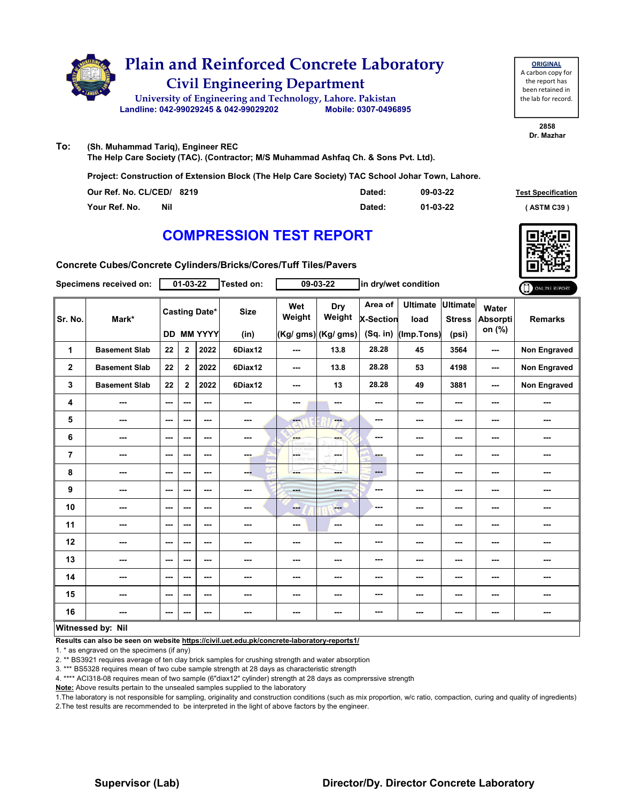

**ORIGINAL** A carbon copy for the report has been retained in the lab for record.

> **2858 Dr. Mazhar**

**To: (Sh. Muhammad Tariq), Engineer REC The Help Care Society (TAC). (Contractor; M/S Muhammad Ashfaq Ch. & Sons Pvt. Ltd).**

**Project: Construction of Extension Block (The Help Care Society) TAC School Johar Town, Lahore.**

| Our Ref. No. CL/CED/ 8219   | Dated: | 09-03-22 | <b>Test Specification</b> |
|-----------------------------|--------|----------|---------------------------|
| <b>Nil</b><br>Your Ref. No. | Dated: | 01-03-22 | <b>ASTM C39</b> \         |

### **COMPRESSION TEST REPORT**

**Concrete Cubes/Concrete Cylinders/Bricks/Cores/Tuff Tiles/Pavers**

|                | Specimens received on: |         | $01 - 03 - 22$ |                                    | Tested on:          |                | 09-03-22                             | in dry/wet condition                    |                                       |                                           | ONLINE REPORT                      |                     |
|----------------|------------------------|---------|----------------|------------------------------------|---------------------|----------------|--------------------------------------|-----------------------------------------|---------------------------------------|-------------------------------------------|------------------------------------|---------------------|
| Sr. No.        | Mark*                  |         |                | <b>Casting Date*</b><br>DD MM YYYY | <b>Size</b><br>(in) | Wet<br>Weight  | Dry<br>Weight<br>(Kg/ gms) (Kg/ gms) | Area of<br><b>X-Section</b><br>(Sq. in) | <b>Ultimate</b><br>load<br>(Imp.Tons) | <b>Ultimate</b><br><b>Stress</b><br>(psi) | Water<br><b>Absorpti</b><br>on (%) | <b>Remarks</b>      |
| 1              | <b>Basement Slab</b>   | 22      | $\mathbf 2$    | 2022                               | 6Diax12             | ---            | 13.8                                 | 28.28                                   | 45                                    | 3564                                      | ---                                | <b>Non Engraved</b> |
| $\mathbf 2$    | <b>Basement Slab</b>   | 22      | $\overline{2}$ | 2022                               | 6Diax12             | $--$           | 13.8                                 | 28.28                                   | 53                                    | 4198                                      | ---                                | Non Engraved        |
| 3              | <b>Basement Slab</b>   | 22      | $\overline{2}$ | 2022                               | 6Diax12             | ---            | 13                                   | 28.28                                   | 49                                    | 3881                                      | ---                                | Non Engraved        |
| 4              | ---                    | ---     | ---            | ---                                | ---                 | ---            | ---                                  | ---                                     | ---                                   | $--$                                      | ---                                | ---                 |
| 5              | ---                    | ---     | ---            | ---                                | ---                 | ---            | ---                                  | ---                                     | ---                                   | ---                                       | ---                                | ---                 |
| 6              | ---                    | ---     | ---            | ---                                | ---                 | ---            |                                      | ---                                     | ---                                   | ---                                       | ---                                | ---                 |
| $\overline{7}$ | ---                    | ---     | ---            | ---                                | ---                 | LGST           | a Su<br><b>Service</b>               | ---                                     | ---                                   | ---                                       | ---                                | ---                 |
| 8              | ---                    | ---     | ---            | ---                                | ---                 | ---            | ---                                  | ---                                     | ---                                   | ---                                       | ---                                | ---                 |
| 9              | ---                    | ---     | ---            | ---                                | ---                 | <b>Barbara</b> | ---                                  | ---                                     | ---                                   | ---                                       | ---                                | ---                 |
| 10             | ---                    | $- - -$ | ---            | ---                                | ---                 | --             | <b>Here</b>                          | ---                                     | ---                                   | $--$                                      | ---                                | ---                 |
| 11             | ---                    | ---     | ---            | ---                                | ---                 | ---            | ---                                  | ---                                     | ---                                   | ---                                       | ---                                | ---                 |
| 12             | ---                    | ---     | ---            | ---                                | ---                 | ---            | ---                                  | ---                                     | ---                                   | ---                                       | ---                                |                     |
| 13             | ---                    | ---     | ---            | ---                                | ---                 | ---            | ---                                  | ---                                     | ---                                   | $--$                                      | ---                                | ---                 |
| 14             | ---                    | ---     | ---            | ---                                | ---                 | ---            | ---                                  | ---                                     | ---                                   | ---                                       | ---                                | ---                 |
| 15             | ---                    | ---     | ---            | ---                                | ---                 | ---            | ---                                  | ---                                     | ---                                   | ---                                       | ---                                | ---                 |
| 16             | ---                    | $--$    | ---            | ---                                | ---                 | $\cdots$       | ---                                  | ---                                     | ---                                   | $\cdots$                                  | ---                                | ---                 |
|                | Witnessed by: Nil      |         |                |                                    |                     |                |                                      |                                         |                                       |                                           |                                    |                     |

**Results can also be seen on website https://civil.uet.edu.pk/concrete-laboratory-reports1/**

1. \* as engraved on the specimens (if any)

2. \*\* BS3921 requires average of ten clay brick samples for crushing strength and water absorption

3. \*\*\* BS5328 requires mean of two cube sample strength at 28 days as characteristic strength

4. \*\*\*\* ACI318-08 requires mean of two sample (6"diax12" cylinder) strength at 28 days as comprerssive strength

**Note:** Above results pertain to the unsealed samples supplied to the laboratory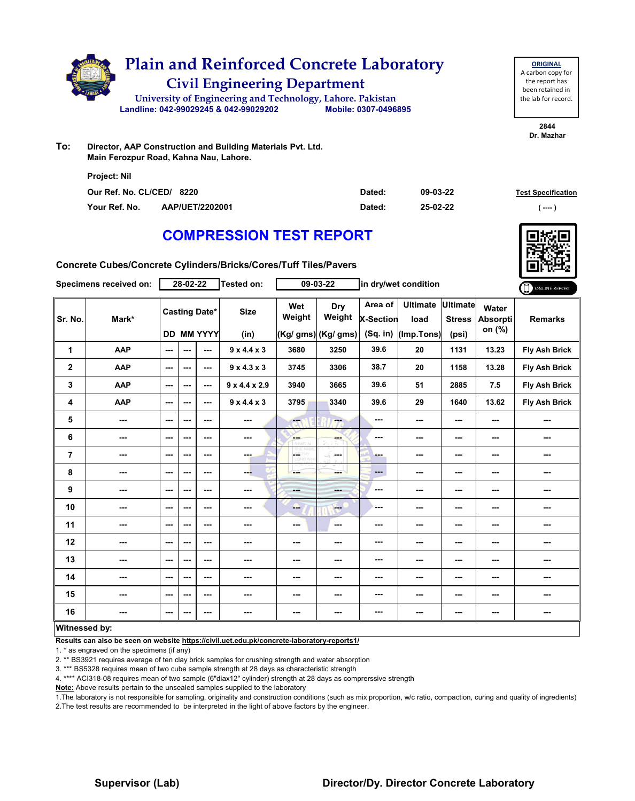

| <b>ORIGINAL</b>     |
|---------------------|
| A carbon copy for   |
| the report has      |
| been retained in    |
| the lab for record. |
|                     |

**2844 Dr. Mazhar**

**To: Director, AAP Construction and Building Materials Pvt. Ltd. Main Ferozpur Road, Kahna Nau, Lahore.**

| <b>Project: Nil</b>       |                 |        |          |                           |
|---------------------------|-----------------|--------|----------|---------------------------|
| Our Ref. No. CL/CED/ 8220 |                 | Dated: | 09-03-22 | <b>Test Specification</b> |
| Your Ref. No.             | AAP/UET/2202001 | Dated: | 25-02-22 | ( ----                    |

### **COMPRESSION TEST REPORT**

**Concrete Cubes/Concrete Cylinders/Bricks/Cores/Tuff Tiles/Pavers**

|                         | Specimens received on: |                          | 28-02-22                 |                                           | <b>Tested on:</b>         |               | 09-03-22                                    | in dry/wet condition               |                                       |                                    | ONLINE REPORT                      |                      |
|-------------------------|------------------------|--------------------------|--------------------------|-------------------------------------------|---------------------------|---------------|---------------------------------------------|------------------------------------|---------------------------------------|------------------------------------|------------------------------------|----------------------|
| Sr. No.                 | Mark*                  |                          |                          | <b>Casting Date*</b><br><b>DD MM YYYY</b> | <b>Size</b><br>(in)       | Wet<br>Weight | <b>Dry</b><br>Weight<br>(Kg/ gms) (Kg/ gms) | Area of<br>X-Section<br>$(Sq.$ in) | <b>Ultimate</b><br>load<br>(Imp.Tons) | Ultimate<br><b>Stress</b><br>(psi) | Water<br><b>Absorpti</b><br>on (%) | <b>Remarks</b>       |
| 1                       | <b>AAP</b>             | $\overline{a}$           | $\overline{a}$           | $\overline{a}$                            | 9x4.4x3                   | 3680          | 3250                                        | 39.6                               | 20                                    | 1131                               | 13.23                              | <b>Fly Ash Brick</b> |
| $\overline{\mathbf{2}}$ | <b>AAP</b>             | $\sim$ $\sim$            | ---                      | $\overline{\phantom{a}}$                  | $9 \times 4.3 \times 3$   | 3745          | 3306                                        | 38.7                               | 20                                    | 1158                               | 13.28                              | <b>Fly Ash Brick</b> |
| 3                       | AAP                    | $\sim$ $\sim$            | $\overline{\phantom{a}}$ | ---                                       | $9 \times 4.4 \times 2.9$ | 3940          | 3665                                        | 39.6                               | 51                                    | 2885                               | 7.5                                | <b>Fly Ash Brick</b> |
| 4                       | <b>AAP</b>             | $\sim$ $\sim$            | ---                      | ---                                       | $9 \times 4.4 \times 3$   | 3795          | 3340                                        | 39.6                               | 29                                    | 1640                               | 13.62                              | Fly Ash Brick        |
| 5                       | $\sim$                 | $\sim$ $\sim$            | ---                      | $\overline{\phantom{a}}$                  | $\sim$                    | <b>Here</b>   | ---                                         | ---                                | ---                                   | ---                                | ---                                | ---                  |
| 6                       | ---                    | $\sim$                   | ---                      | ---                                       | ---                       | ---           | ---                                         | ---                                | ---                                   | ---                                | ---                                |                      |
| 7                       | $\sim$                 | $\sim$ $\sim$            | ---                      | ---                                       | <b>COLL</b>               | р.<br>ORD WHI | -F<br>and a                                 | ---                                | ---                                   | ---                                | ---                                | ---                  |
| 8                       | ---                    | $\sim$ $\sim$            | ---                      | $\overline{\phantom{a}}$                  | --                        | ---           | ---                                         | ---                                | ---                                   | ---                                | ---                                | ---                  |
| 9                       | ---                    | $\sim$ $\sim$            | ---                      | $\overline{\phantom{a}}$                  | ---                       | ---           | <b>AND</b>                                  | ---                                | ---                                   | ---                                | ---                                | ---                  |
| 10                      | $\sim$ $\sim$          | $\sim$ $\sim$            | ---                      | $\overline{\phantom{a}}$                  | $\sim$                    | --            | $\qquad \qquad -$                           | ---                                | ---                                   | ---                                | ---                                | ---                  |
| 11                      | $\sim$ $\sim$          | $\sim$ $\sim$            | ---                      | ---                                       | $\overline{\phantom{a}}$  | ---           | $\sim$                                      | ---                                | ---                                   | ---                                | ---                                | ---                  |
| 12                      | ---                    | $\sim$ $\sim$            | ---                      | ---                                       | $\overline{\phantom{a}}$  | ---           | ---                                         | ---                                | ---                                   | ---                                | ---                                | ---                  |
| 13                      | ---                    | $\sim$ $\sim$            | ---                      | $\overline{\phantom{a}}$                  | ---                       | ---           | ---                                         | ---                                | ---                                   | ---                                | ---                                | ---                  |
| 14                      | ---                    | $\qquad \qquad \cdots$   | ---                      | ---                                       | ---                       | ---           | ---                                         | ---                                | ---                                   | ---                                | ---                                | ---                  |
| 15                      | ---                    | $\sim$ $\sim$            | ---                      | ---                                       | $\sim$                    | ---           | $\sim$                                      | ---                                | ---                                   | ---                                | ---                                | ---                  |
| 16                      | ---                    | $\hspace{0.05cm} \ldots$ | ---                      | ---                                       | ---                       | ---           | ---                                         | ---                                | ---                                   | ---                                | ---                                | ---                  |
| Witnessed by:           |                        |                          |                          |                                           |                           |               |                                             |                                    |                                       |                                    |                                    |                      |

#### **Witnessed by:**

**Results can also be seen on website https://civil.uet.edu.pk/concrete-laboratory-reports1/**

1. \* as engraved on the specimens (if any)

2. \*\* BS3921 requires average of ten clay brick samples for crushing strength and water absorption

3. \*\*\* BS5328 requires mean of two cube sample strength at 28 days as characteristic strength

4. \*\*\*\* ACI318-08 requires mean of two sample (6"diax12" cylinder) strength at 28 days as comprerssive strength

**Note:** Above results pertain to the unsealed samples supplied to the laboratory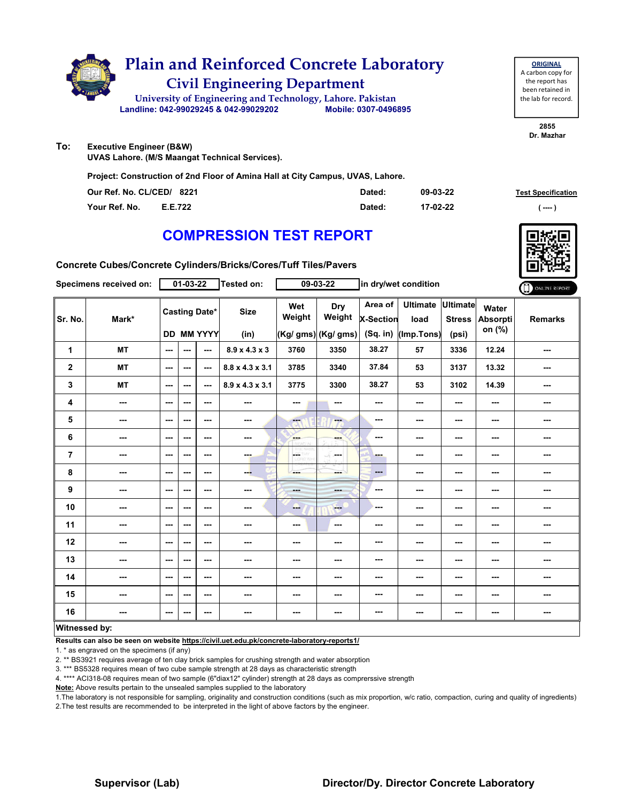

# **Civil Engineering Department Plain and Reinforced Concrete Laboratory**

**Landline: 042-99029245 & 042-99029202 Mobile: 0307-0496895 University of Engineering and Technology, Lahore. Pakistan**

**ORIGINAL** A carbon copy for the report has been retained in the lab for record.

> **2855 Dr. Mazhar**

**To: Executive Engineer (B&W)**

**UVAS Lahore. (M/S Maangat Technical Services).**

**Project: Construction of 2nd Floor of Amina Hall at City Campus, UVAS, Lahore.**

| Our Ref. No. CL/CED/ 8221 |         | Dated: | 09-03-22 | <b>Test Specification</b> |
|---------------------------|---------|--------|----------|---------------------------|
| Your Ref. No.             | E.E.722 | Dated: | 17-02-22 | ( ----                    |

### **COMPRESSION TEST REPORT**

**Concrete Cubes/Concrete Cylinders/Bricks/Cores/Tuff Tiles/Pavers**

|                      | Specimens received on:   |                          | 01-03-22 |                                    | Tested on:                  |               | 09-03-22                                    | in dry/wet condition             |                                       |                                    | ONLINE REPORT                      |                |
|----------------------|--------------------------|--------------------------|----------|------------------------------------|-----------------------------|---------------|---------------------------------------------|----------------------------------|---------------------------------------|------------------------------------|------------------------------------|----------------|
| Sr. No.              | Mark*                    |                          |          | <b>Casting Date*</b><br>DD MM YYYY | <b>Size</b><br>(in)         | Wet<br>Weight | <b>Dry</b><br>Weight<br>(Kg/ gms) (Kg/ gms) | Area of<br>X-Section<br>(Sq. in) | <b>Ultimate</b><br>load<br>(Imp.Tons) | Ultimate<br><b>Stress</b><br>(psi) | Water<br><b>Absorpti</b><br>on (%) | <b>Remarks</b> |
| 1                    | <b>MT</b>                | $\sim$ $\sim$            | ---      | ---                                | $8.9 \times 4.3 \times 3$   | 3760          | 3350                                        | 38.27                            | 57                                    | 3336                               | 12.24                              | ---            |
| $\mathbf{2}$         | <b>MT</b>                | $\sim$ $\sim$            | ---      | ---                                | $8.8 \times 4.3 \times 3.1$ | 3785          | 3340                                        | 37.84                            | 53                                    | 3137                               | 13.32                              | ---            |
| 3                    | <b>MT</b>                | $\sim$                   | ---      | ---                                | $8.9 \times 4.3 \times 3.1$ | 3775          | 3300                                        | 38.27                            | 53                                    | 3102                               | 14.39                              | ---            |
| 4                    | $\overline{\phantom{a}}$ | $\sim$ $\sim$            | ---      | $--$                               | $\overline{\phantom{a}}$    | ---           | ---                                         |                                  | ---                                   | ---                                | ---                                | ---            |
| 5                    | ---                      | $--$                     | ---      | ---                                | $\overline{\phantom{a}}$    | ---           | ---                                         | ---                              | ---                                   | ---                                | ---                                | ---            |
| 6                    | ---                      | $\sim$                   | ---      | $- - -$                            | $\cdots$                    | <b>SHOP</b>   | ---                                         | ---                              | ---                                   | ---                                | ---                                | ---            |
| $\overline{7}$       | ---                      | $\sim$ $\sim$            | ---      | ---                                | ---                         | L.<br>12.Vi70 | SS.<br><b>Service</b>                       | ---                              | ---                                   | $--$                               | ---                                | ---            |
| 8                    | ---                      | $\sim$                   | ---      | $--$                               | --                          | ---           | mente del                                   | ---                              | ---                                   | ---                                | ---                                | ---            |
| 9                    | ---                      | $\sim$                   | ---      | ---                                | $\frac{1}{2}$               | $-$           | <b>SHOP</b>                                 | ---                              | ---                                   | ---                                | ---                                | ---            |
| 10                   | ---                      | $\overline{\phantom{a}}$ | ---      | ---                                | ---                         | ---           | $-$                                         | ---                              | ---                                   | ---                                | ---                                | ---            |
| 11                   | $\overline{\phantom{a}}$ | $\sim$ $\sim$            | ---      | $--$                               | $\overline{\phantom{a}}$    | ---           | $\sim$                                      | ---                              | ---                                   | ---                                | ---                                | ---            |
| 12                   | ---                      | $\sim$                   | ---      | ---                                | ---                         | ---           | ---                                         | ---                              | ---                                   | ---                                | ---                                | ---            |
| 13                   | ---                      | $\sim$                   | ---      | ---                                | ---                         | ---           | ---                                         | ---                              | ---                                   | ---                                | ---                                | ---            |
| 14                   | ---                      | $\sim$ $\sim$            | ---      | ---                                | $\cdots$                    | ---           | ---                                         | ---                              | ---                                   | $--$                               | ---                                | ---            |
| 15                   | ---                      | $\sim$                   | ---      | $--$                               | ---                         | ---           | ---                                         | ---                              | ---                                   | ---                                | ---                                | ---            |
| 16                   | ---                      | $\sim$ $\sim$            | ---      | $--$                               | $\overline{\phantom{a}}$    | ---           | ---                                         | ---                              | ---                                   | $--$                               | ---                                | ---            |
| <b>Witnessed by:</b> |                          |                          |          |                                    |                             |               |                                             |                                  |                                       |                                    |                                    |                |

#### **Witnessed by:**

**Results can also be seen on website https://civil.uet.edu.pk/concrete-laboratory-reports1/**

1. \* as engraved on the specimens (if any)

2. \*\* BS3921 requires average of ten clay brick samples for crushing strength and water absorption

3. \*\*\* BS5328 requires mean of two cube sample strength at 28 days as characteristic strength

4. \*\*\*\* ACI318-08 requires mean of two sample (6"diax12" cylinder) strength at 28 days as comprerssive strength

**Note:** Above results pertain to the unsealed samples supplied to the laboratory

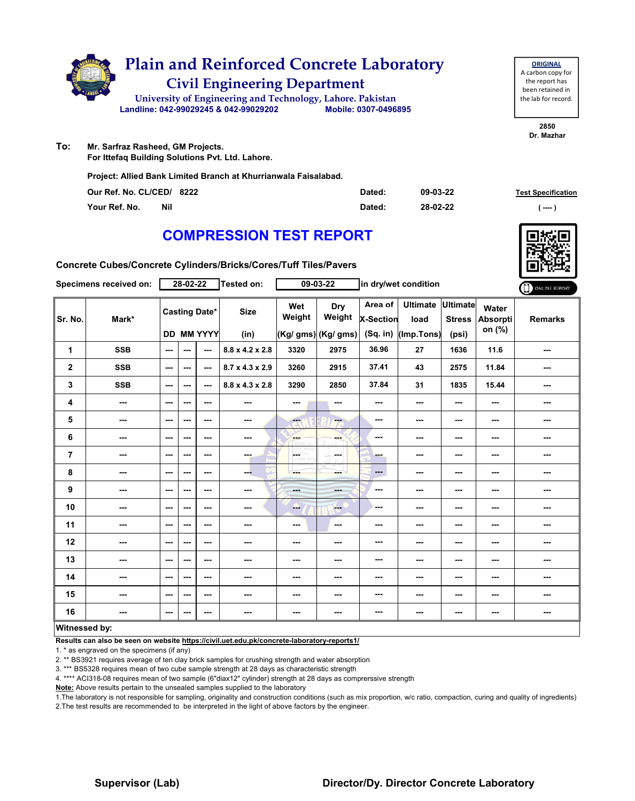

| <b>ORIGINAL</b>     |
|---------------------|
| A carbon copy for   |
| the report has      |
| been retained in    |
| the lab for record. |
|                     |

**2850 Dr. Mazhar**

- **To: Mr. Sarfraz Rasheed, GM Projects.**
	- **For Ittefaq Building Solutions Pvt. Ltd. Lahore.**

**Project: Allied Bank Limited Branch at Khurrianwala Faisalabad.**

| Our Ref. No. CL/CED/ 8222 | Dated: | 09-03-22 | <b>Test Specification</b> |
|---------------------------|--------|----------|---------------------------|
| Your Ref. No.<br>Nil      | Dated: | 28-02-22 | ( ----                    |

### **COMPRESSION TEST REPORT**

**Concrete Cubes/Concrete Cylinders/Bricks/Cores/Tuff Tiles/Pavers**

| Specimens received on: |                          | 28-02-22                                  |     |         | <b>Tested on:</b>           | 09-03-22                                |                                             | in dry/wet condition                        |                                       |                                           |                             | ONLINE REPORT  |
|------------------------|--------------------------|-------------------------------------------|-----|---------|-----------------------------|-----------------------------------------|---------------------------------------------|---------------------------------------------|---------------------------------------|-------------------------------------------|-----------------------------|----------------|
| Sr. No.                | Mark*                    | <b>Casting Date*</b><br><b>DD MM YYYY</b> |     |         | <b>Size</b><br>(in)         | Wet<br>Weight                           | <b>Dry</b><br>Weight<br>(Kg/ gms) (Kg/ gms) | Area of $ $<br><b>X-Section</b><br>(Sq. in) | <b>Ultimate</b><br>load<br>(Imp.Tons) | <b>Ultimate</b><br><b>Stress</b><br>(psi) | Water<br>Absorpti<br>on (%) | <b>Remarks</b> |
| 1                      | <b>SSB</b>               | $\sim$ $\sim$                             | --- | $\sim$  | $8.8 \times 4.2 \times 2.8$ | 3320                                    | 2975                                        | 36.96                                       | 27                                    | 1636                                      | 11.6                        | ---            |
| $\mathbf 2$            | <b>SSB</b>               | ---                                       | --- | ---     | $8.7 \times 4.3 \times 2.9$ | 3260                                    | 2915                                        | 37.41                                       | 43                                    | 2575                                      | 11.84                       | ---            |
| 3                      | <b>SSB</b>               | $\sim$ $\sim$                             | --- | $-$     | 8.8 x 4.3 x 2.8             | 3290                                    | 2850                                        | 37.84                                       | 31                                    | 1835                                      | 15.44                       | ---            |
| 4                      | $\overline{\phantom{a}}$ | $\sim$ $\sim$                             | --- | $--$    | $\cdots$                    | ---                                     | ---                                         | ---                                         | ---                                   | $--$                                      | ---                         | ---            |
| 5                      | $\cdots$                 | ---                                       | --- | $--$    | $\cdots$                    | $-1$                                    | Ferry                                       | ---                                         | ---                                   | ---                                       | ---                         | ---            |
| 6                      | ---                      | $--$                                      | --- | $--$    | $\overline{\phantom{a}}$    | <b>Albert</b>                           |                                             | ---                                         | ---                                   | ---                                       | ---                         | ---            |
| 7                      | ---                      | ---                                       | --- | ---     | ---                         | $\overline{\phantom{a}}$<br>LIDRID, VON | -F.<br>and a                                | ---                                         | ---                                   | $--$                                      | ---                         | ---            |
| 8                      | ---                      | $\sim$ $\sim$                             | --- | $--$    | --                          | ---                                     | ---                                         | ---                                         | ---                                   | $--$                                      | ---                         | ---            |
| 9                      | ---                      | ---                                       | --- | $--$    | $\cdots$                    | ---                                     |                                             | ---                                         | ---                                   | ---                                       | ---                         | ---            |
| 10                     | ---                      | ---                                       | --- | ---     | ---                         | ---                                     | $\frac{1}{2}$                               | ---                                         | ---                                   | ---                                       | ---                         | ---            |
| 11                     | $\overline{\phantom{a}}$ | $\sim$ $\sim$                             | --- | $--$    | $\cdots$                    | ---                                     | $\sim$                                      | ---                                         | ---                                   | $--$                                      | ---                         | ---            |
| 12                     | ---                      | $--$                                      | --- | ---     | ---                         | ---                                     | ---                                         | ---                                         | ---                                   | ---                                       | ---                         | ---            |
| 13                     | ---                      | $--$                                      | --- | $--$    | ---                         | ---                                     |                                             | ---                                         | ---                                   | ---                                       | ---                         | ---            |
| 14                     | ---                      | $- - -$                                   | --- | $- - -$ | ---                         | ---                                     | ---                                         | ---                                         | ---                                   | ---                                       | ---                         | ---            |
| 15                     | ---                      | $--$                                      | --- | ---     | $\sim$                      | ---                                     | ---                                         | ---                                         | ---                                   | ---                                       | ---                         | ---            |
| 16                     | ---                      | $\overline{\phantom{a}}$                  | --- | $--$    | $\cdots$                    | ---                                     | ---                                         | ---                                         | ---                                   | ---                                       | ---                         | ---            |
| Witnessed by:          |                          |                                           |     |         |                             |                                         |                                             |                                             |                                       |                                           |                             |                |

#### **Witnessed by:**

**Results can also be seen on website https://civil.uet.edu.pk/concrete-laboratory-reports1/**

1. \* as engraved on the specimens (if any)

2. \*\* BS3921 requires average of ten clay brick samples for crushing strength and water absorption

3. \*\*\* BS5328 requires mean of two cube sample strength at 28 days as characteristic strength

4. \*\*\*\* ACI318-08 requires mean of two sample (6"diax12" cylinder) strength at 28 days as comprerssive strength

**Note:** Above results pertain to the unsealed samples supplied to the laboratory